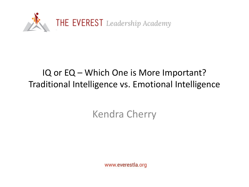

#### IQ or EQ – Which One is More Important? Traditional Intelligence vs. Emotional Intelligence

#### Kendra Cherry

www.everestla.org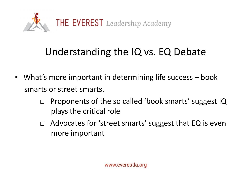

### Understanding the IQ vs. EQ Debate

- What's more important in determining life success book smarts or street smarts.
	- □ Proponents of the so called 'book smarts' suggest IQ plays the critical role
	- $\Box$  Advocates for 'street smarts' suggest that EQ is even more important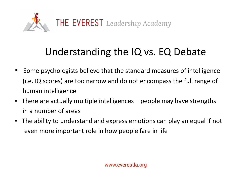

## Understanding the IQ vs. EQ Debate

- Some psychologists believe that the standard measures of intelligence (i.e. IQ scores) are too narrow and do not encompass the full range of human intelligence
- There are actually multiple intelligences people may have strengths in a number of areas
- The ability to understand and express emotions can play an equal if not even more important role in how people fare in life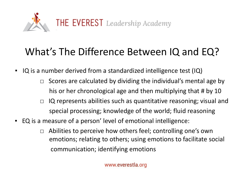

### What's The Difference Between IQ and EQ?

- IQ is a number derived from a standardized intelligence test (IQ)
	- $\Box$  Scores are calculated by dividing the individual's mental age by his or her chronological age and then multiplying that # by 10
	- $\Box$  IQ represents abilities such as quantitative reasoning; visual and special processing; knowledge of the world; fluid reasoning
- EQ is a measure of a person' level of emotional intelligence:
	- $\Box$  Abilities to perceive how others feel; controlling one's own emotions; relating to others; using emotions to facilitate social communication; identifying emotions

www.everestla.org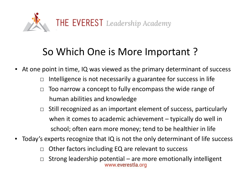

#### So Which One is More Important ?

■ At one point in time, IQ was viewed as the primary determinant of success

- $\Box$  Intelligence is not necessarily a guarantee for success in life
- $\Box$  Too narrow a concept to fully encompass the wide range of human abilities and knowledge
- $\Box$  Still recognized as an important element of success, particularly when it comes to academic achievement – typically do well in school; often earn more money; tend to be healthier in life
- Today's experts recognize that IQ is not the only determinant of life success
	- □ Other factors including EQ are relevant to success
	- □ Strong leadership potential are more emotionally intelligent<br>www.everestla.org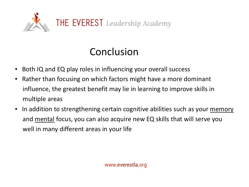

# Conclusion

- Both IQ and EQ play roles in influencing your overall success
- Rather than focusing on which factors might have a more dominant influence, the greatest benefit may lie in learning to improve skills in multiple areas
- In addition to strengthening certain cognitive abilities such as your memory and mental focus, you can also acquire new EQ skills that will serve you well in many different areas in your life